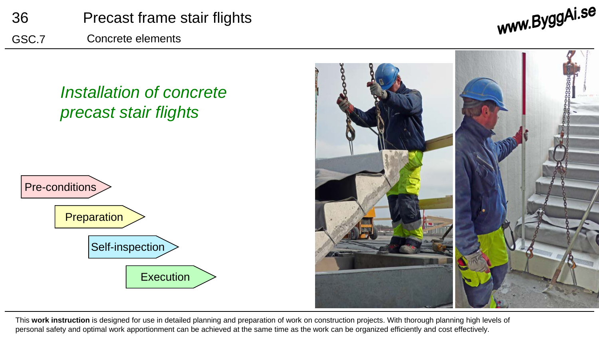





This **work instruction** is designed for use in detailed planning and preparation of work on construction projects. With thorough planning high levels of personal safety and optimal work apportionment can be achieved at the same time as the work can be organized efficiently and cost effectively.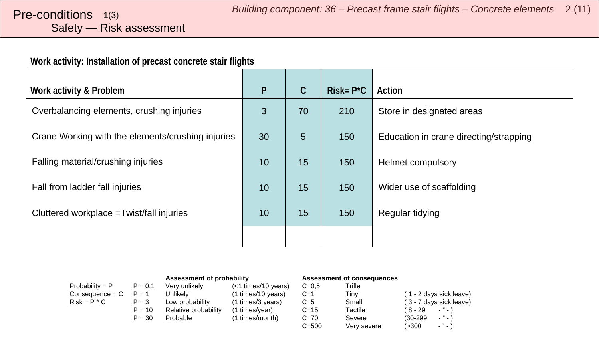# <span id="page-1-0"></span>Safety — Risk assessment

#### **Work activity: Installation of precast concrete stair flights**

| Work activity & Problem                           | $\mathsf{P}$ | $\mathsf C$    | $Risk = P^*C$ | Action                                 |
|---------------------------------------------------|--------------|----------------|---------------|----------------------------------------|
| Overbalancing elements, crushing injuries         | 3            | 70             | 210           | Store in designated areas              |
| Crane Working with the elements/crushing injuries | 30           | $5\phantom{.}$ | 150           | Education in crane directing/strapping |
| Falling material/crushing injuries                | 10           | 15             | 150           | <b>Helmet compulsory</b>               |
| Fall from ladder fall injuries                    | 10           | 15             | 150           | Wider use of scaffolding               |
| Cluttered workplace = Twist/fall injuries         | 10           | 15             | 150           | Regular tidying                        |
|                                                   |              |                |               |                                        |

|                   |           | Assessment of probability |                       | <b>Assessment of consequences</b> |             |                           |
|-------------------|-----------|---------------------------|-----------------------|-----------------------------------|-------------|---------------------------|
| $Probability = P$ | $P = 0.1$ | Very unlikely             | $(<1$ times/10 years) | $C = 0.5$                         | Trifle      |                           |
| Consequence = C   | $P = 1$   | Unlikely                  | (1 times/10 years)    | $C=1$                             | Tiny        | (1 - 2 days sick leave)   |
| $Risk = P * C$    | $P = 3$   | Low probability           | (1 times/3 years)     | $C=5$                             | Small       | (3 - 7 days sick leave)   |
|                   | $P = 10$  | Relative probability      | (1 times/year)        | $C = 15$                          | Tactile     | (8-29<br>$ "$ $ \lambda$  |
|                   | $P = 30$  | Probable                  | (1 times/month)       | $C = 70$                          | Severe      | $-$ " $-$ )<br>$(30-299)$ |
|                   |           |                           |                       | $C = 500$                         | Verv severe | $ \cdot$ $-$<br>(>300     |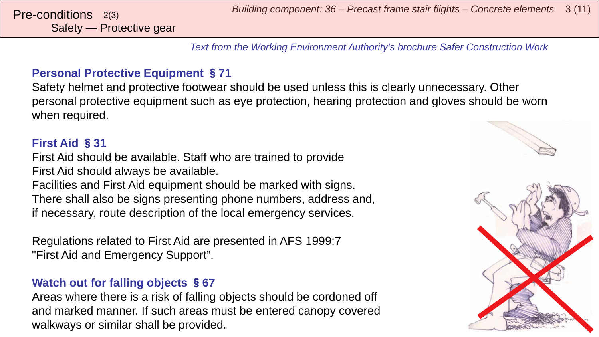*Building component: 36 – Precast frame stair flights – Concrete elements* <sup>3</sup> (11) Pre-conditions 2(3)

*Text from the Working Environment Authority's brochure Safer Construction Work*

#### **Personal Protective Equipment** §**71**

Safety helmet and protective footwear should be used unless this is clearly unnecessary. Other personal protective equipment such as eye protection, hearing protection and gloves should be worn when required.

#### **First Aid** §**31**

First Aid should be available. Staff who are trained to provide First Aid should always be available. Facilities and First Aid equipment should be marked with signs. There shall also be signs presenting phone numbers, address and, if necessary, route description of the local emergency services.

Regulations related to First Aid are presented in AFS 1999:7 "First Aid and Emergency Support".

#### **Watch out for falling objects** §**67**

Areas where there is a risk of falling objects should be cordoned off and marked manner. If such areas must be entered canopy covered walkways or similar shall be provided.

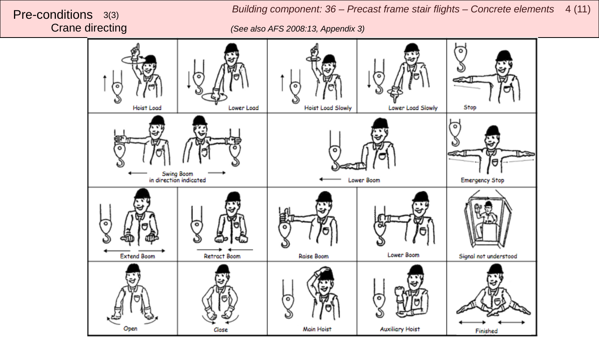*Building component: 36 – Precast frame stair flights – Concrete elements*  <sup>4</sup> (11) Pre-conditions 3(3)

Crane directing *(See also AFS 2008:13, Appendix 3)*

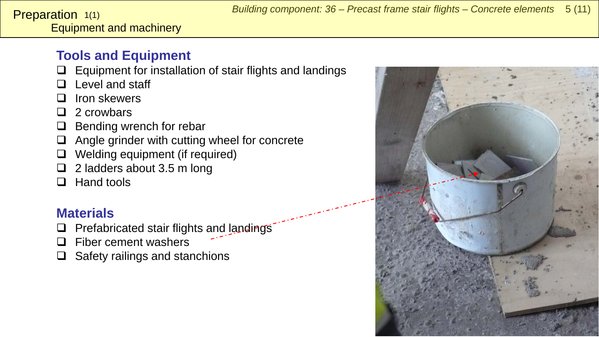<span id="page-4-0"></span>Equipment and machinery **Preparation**  $1(1)$ 

### **Tools and Equipment**

- $\Box$  Equipment for installation of stair flights and landings
- $\Box$  Level and staff
- $\Box$  Iron skewers
- $\Box$  2 crowbars
- $\Box$  Bending wrench for rebar
- $\Box$  Angle grinder with cutting wheel for concrete
- □ Welding equipment (if required)
- $\Box$  2 ladders about 3.5 m long
- $\Box$  Hand tools

### **Materials**

- $\Box$  Prefabricated stair flights and landings
- $\Box$  Fiber cement washers
- $\Box$  Safety railings and stanchions

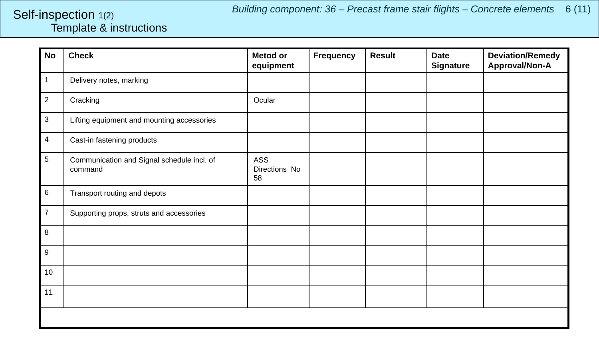#### <span id="page-5-0"></span>Template & instructions Self-inspection 1(2)

| <b>No</b>      | <b>Check</b>                                          | <b>Metod or</b><br>equipment | <b>Frequency</b> | <b>Result</b> | <b>Date</b><br><b>Signature</b> | <b>Deviation/Remedy</b><br>Approval/Non-A |
|----------------|-------------------------------------------------------|------------------------------|------------------|---------------|---------------------------------|-------------------------------------------|
| $\mathbf{1}$   | Delivery notes, marking                               |                              |                  |               |                                 |                                           |
| $\overline{2}$ | Cracking                                              | Ocular                       |                  |               |                                 |                                           |
| 3              | Lifting equipment and mounting accessories            |                              |                  |               |                                 |                                           |
| $\overline{4}$ | Cast-in fastening products                            |                              |                  |               |                                 |                                           |
| $\sqrt{5}$     | Communication and Signal schedule incl. of<br>command | ASS<br>Directions No<br>58   |                  |               |                                 |                                           |
| $\,6\,$        | Transport routing and depots                          |                              |                  |               |                                 |                                           |
| $\overline{7}$ | Supporting props, struts and accessories              |                              |                  |               |                                 |                                           |
| 8              |                                                       |                              |                  |               |                                 |                                           |
| 9              |                                                       |                              |                  |               |                                 |                                           |
| 10             |                                                       |                              |                  |               |                                 |                                           |
| 11             |                                                       |                              |                  |               |                                 |                                           |
|                |                                                       |                              |                  |               |                                 |                                           |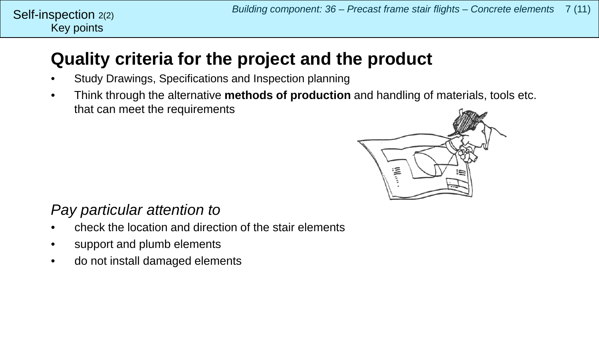## **Quality criteria for the project and the product**

- Study Drawings, Specifications and Inspection planning
- Think through the alternative **methods of production** and handling of materials, tools etc. that can meet the requirements



### *Pay particular attention to*

Key points

Self-inspection 2(2)

- check the location and direction of the stair elements
- support and plumb elements
- do not install damaged elements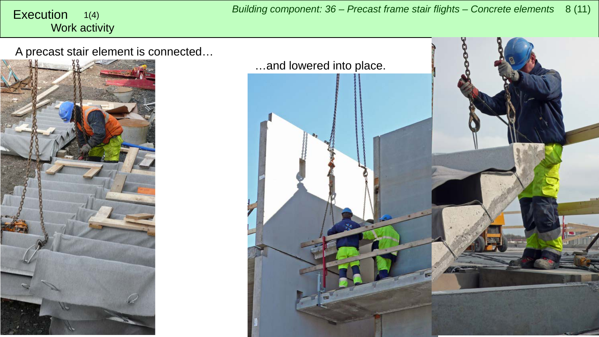#### <span id="page-7-0"></span>Work activity 1(4)

A precast stair element is connected…



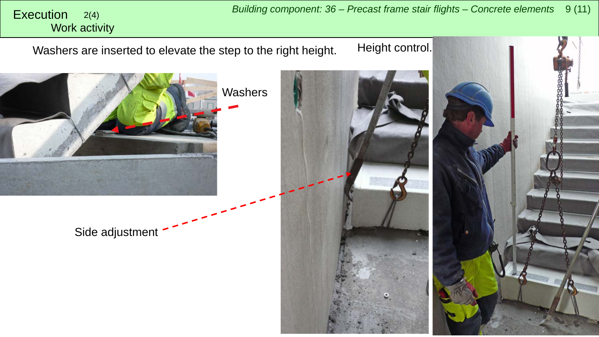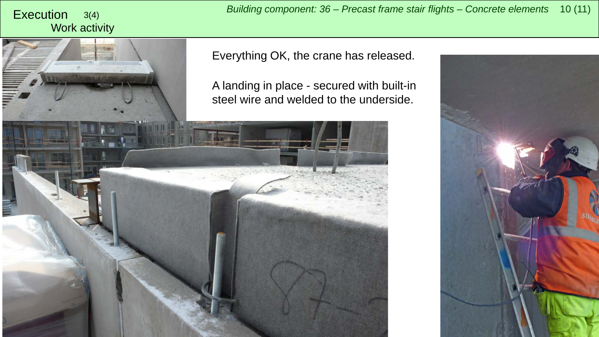# Work activity

*Building component: 36 – Precast frame stair flights – Concrete elements* <sup>10</sup> (11) Execution 3(4)